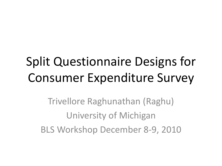## Split Questionnaire Designs for Consumer Expenditure Survey

Trivellore Raghunathan (Raghu) University of Michigan BLS Workshop December 8-9, 2010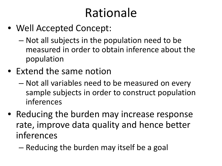### Rationale

- Well Accepted Concept:
	- Not all subjects in the population need to be measured in order to obtain inference about the population
- Extend the same notion
	- Not all variables need to be measured on every sample subjects in order to construct population inferences
- Reducing the burden may increase response rate, improve data quality and hence better inferences
	- Reducing the burden may itself be a goal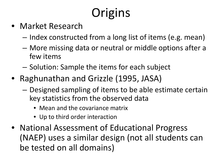# **Origins**

- Market Research
	- Index constructed from a long list of items (e.g. mean)
	- More missing data or neutral or middle options after a few items
	- Solution: Sample the items for each subject
- Raghunathan and Grizzle (1995, JASA)
	- Designed sampling of items to be able estimate certain key statistics from the observed data
		- Mean and the covariance matrix
		- Up to third order interaction
- National Assessment of Educational Progress (NAEP) uses a similar design (not all students can be tested on all domains)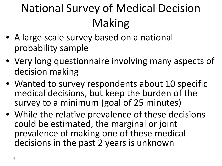### National Survey of Medical Decision Making

- A large scale survey based on a national probability sample
- Very long questionnaire involving many aspects of decision making
- Wanted to survey respondents about 10 specific medical decisions, but keep the burden of the survey to a minimum (goal of 25 minutes)
- While the relative prevalence of these decisions could be estimated, the marginal or joint prevalence of making one of these medical decisions in the past 2 years is unknown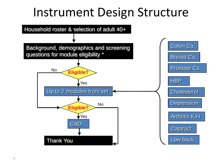#### Instrument Design Structure

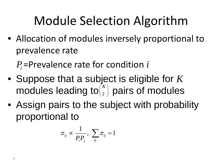## Module Selection Algorithm

• Allocation of modules inversely proportional to prevalence rate

 $P_i$ =Prevalence rate for condition  $i$ 

- Suppose that a subject is eligible for *K* modules leading to $\binom{n}{2}$  pairs of modules  $(K)$  $\binom{2}{}$
- Assign pairs to the subject with probability proportional to

$$
\pi_{ij} \propto \frac{1}{P_i P_j}, \ \sum_{ij} \pi_{ij} = 1
$$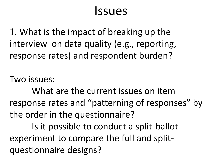#### Issues

1. What is the impact of breaking up the interview on data quality (e.g., reporting, response rates) and respondent burden?

Two issues:

What are the current issues on item response rates and "patterning of responses" by the order in the questionnaire?

Is it possible to conduct a split-ballot experiment to compare the full and splitquestionnaire designs?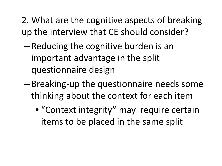- 2. What are the cognitive aspects of breaking up the interview that CE should consider?
	- Reducing the cognitive burden is an important advantage in the split questionnaire design
	- Breaking-up the questionnaire needs some thinking about the context for each item
		- "Context integrity" may require certain items to be placed in the same split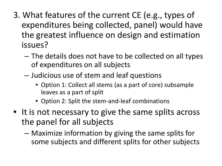- 3. What features of the current CE (e.g., types of expenditures being collected, panel) would have the greatest influence on design and estimation issues?
	- The details does not have to be collected on all types of expenditures on all subjects
	- Judicious use of stem and leaf questions
		- Option 1: Collect all stems (as a part of core) subsample leaves as a part of split
		- Option 2: Split the stem-and-leaf combinations
- It is not necessary to give the same splits across the panel for all subjects
	- Maximize information by giving the same splits for some subjects and different splits for other subjects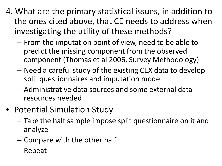- 4. What are the primary statistical issues, in addition to the ones cited above, that CE needs to address when investigating the utility of these methods?
	- From the imputation point of view, need to be able to predict the missing component from the observed component (Thomas et al 2006, Survey Methodology)
	- Need a careful study of the existing CEX data to develop split questionnaires and imputation model
	- Administrative data sources and some external data resources needed
- Potential Simulation Study
	- Take the half sample impose split questionnaire on it and analyze
	- Compare with the other half
	- Repeat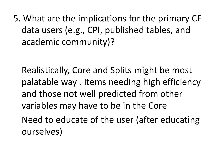5. What are the implications for the primary CE data users (e.g., CPI, published tables, and academic community)?

Realistically, Core and Splits might be most palatable way . Items needing high efficiency and those not well predicted from other variables may have to be in the Core Need to educate of the user (after educating ourselves)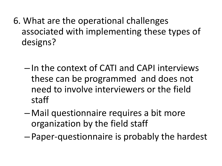- 6. What are the operational challenges associated with implementing these types of designs?
	- In the context of CATI and CAPI interviews these can be programmed and does not need to involve interviewers or the field staff
	- Mail questionnaire requires a bit more organization by the field staff
	- Paper-questionnaire is probably the hardest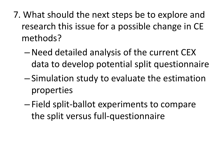- 7. What should the next steps be to explore and research this issue for a possible change in CE methods?
	- –Need detailed analysis of the current CEX data to develop potential split questionnaire
	- Simulation study to evaluate the estimation properties
	- Field split-ballot experiments to compare the split versus full-questionnaire